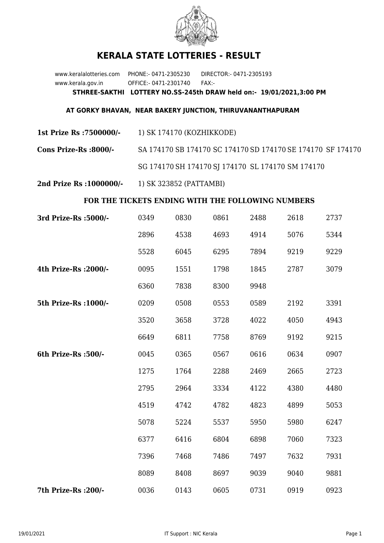

## **KERALA STATE LOTTERIES - RESULT**

www.keralalotteries.com PHONE:- 0471-2305230 DIRECTOR:- 0471-2305193 www.kerala.gov.in OFFICE:- 0471-2301740 FAX:- **STHREE-SAKTHI LOTTERY NO.SS-245th DRAW held on:- 19/01/2021,3:00 PM**

## **AT GORKY BHAVAN, NEAR BAKERY JUNCTION, THIRUVANANTHAPURAM**

**1st Prize Rs :7500000/-** 1) SK 174170 (KOZHIKKODE)

**Cons Prize-Rs :8000/-** SA 174170 SB 174170 SC 174170 SD 174170 SE 174170 SF 174170 SG 174170 SH 174170 SJ 174170 SL 174170 SM 174170

**2nd Prize Rs :1000000/-** 1) SK 323852 (PATTAMBI)

## **FOR THE TICKETS ENDING WITH THE FOLLOWING NUMBERS**

| 3rd Prize-Rs : 5000/- | 0349 | 0830 | 0861 | 2488 | 2618 | 2737 |
|-----------------------|------|------|------|------|------|------|
|                       | 2896 | 4538 | 4693 | 4914 | 5076 | 5344 |
|                       | 5528 | 6045 | 6295 | 7894 | 9219 | 9229 |
| 4th Prize-Rs : 2000/- | 0095 | 1551 | 1798 | 1845 | 2787 | 3079 |
|                       | 6360 | 7838 | 8300 | 9948 |      |      |
| 5th Prize-Rs : 1000/- | 0209 | 0508 | 0553 | 0589 | 2192 | 3391 |
|                       | 3520 | 3658 | 3728 | 4022 | 4050 | 4943 |
|                       | 6649 | 6811 | 7758 | 8769 | 9192 | 9215 |
| 6th Prize-Rs :500/-   | 0045 | 0365 | 0567 | 0616 | 0634 | 0907 |
|                       | 1275 | 1764 | 2288 | 2469 | 2665 | 2723 |
|                       | 2795 | 2964 | 3334 | 4122 | 4380 | 4480 |
|                       | 4519 | 4742 | 4782 | 4823 | 4899 | 5053 |
|                       | 5078 | 5224 | 5537 | 5950 | 5980 | 6247 |
|                       | 6377 | 6416 | 6804 | 6898 | 7060 | 7323 |
|                       | 7396 | 7468 | 7486 | 7497 | 7632 | 7931 |
|                       | 8089 | 8408 | 8697 | 9039 | 9040 | 9881 |
| 7th Prize-Rs : 200/-  | 0036 | 0143 | 0605 | 0731 | 0919 | 0923 |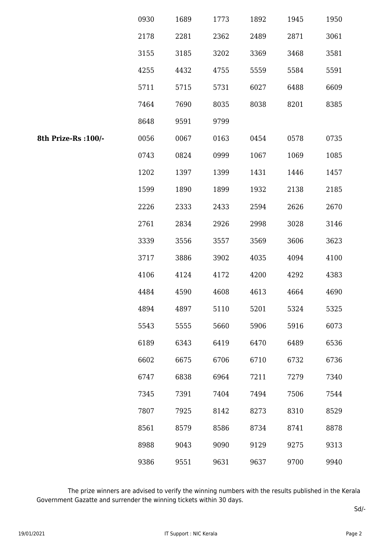|                      | 0930 | 1689 | 1773 | 1892 | 1945 | 1950 |
|----------------------|------|------|------|------|------|------|
|                      | 2178 | 2281 | 2362 | 2489 | 2871 | 3061 |
|                      | 3155 | 3185 | 3202 | 3369 | 3468 | 3581 |
|                      | 4255 | 4432 | 4755 | 5559 | 5584 | 5591 |
|                      | 5711 | 5715 | 5731 | 6027 | 6488 | 6609 |
|                      | 7464 | 7690 | 8035 | 8038 | 8201 | 8385 |
|                      | 8648 | 9591 | 9799 |      |      |      |
| 8th Prize-Rs : 100/- | 0056 | 0067 | 0163 | 0454 | 0578 | 0735 |
|                      | 0743 | 0824 | 0999 | 1067 | 1069 | 1085 |
|                      | 1202 | 1397 | 1399 | 1431 | 1446 | 1457 |
|                      | 1599 | 1890 | 1899 | 1932 | 2138 | 2185 |
|                      | 2226 | 2333 | 2433 | 2594 | 2626 | 2670 |
|                      | 2761 | 2834 | 2926 | 2998 | 3028 | 3146 |
|                      | 3339 | 3556 | 3557 | 3569 | 3606 | 3623 |
|                      | 3717 | 3886 | 3902 | 4035 | 4094 | 4100 |
|                      | 4106 | 4124 | 4172 | 4200 | 4292 | 4383 |
|                      | 4484 | 4590 | 4608 | 4613 | 4664 | 4690 |
|                      | 4894 | 4897 | 5110 | 5201 | 5324 | 5325 |
|                      | 5543 | 5555 | 5660 | 5906 | 5916 | 6073 |
|                      | 6189 | 6343 | 6419 | 6470 | 6489 | 6536 |
|                      | 6602 | 6675 | 6706 | 6710 | 6732 | 6736 |
|                      | 6747 | 6838 | 6964 | 7211 | 7279 | 7340 |
|                      | 7345 | 7391 | 7404 | 7494 | 7506 | 7544 |
|                      | 7807 | 7925 | 8142 | 8273 | 8310 | 8529 |
|                      | 8561 | 8579 | 8586 | 8734 | 8741 | 8878 |
|                      | 8988 | 9043 | 9090 | 9129 | 9275 | 9313 |
|                      | 9386 | 9551 | 9631 | 9637 | 9700 | 9940 |

 The prize winners are advised to verify the winning numbers with the results published in the Kerala Government Gazatte and surrender the winning tickets within 30 days.